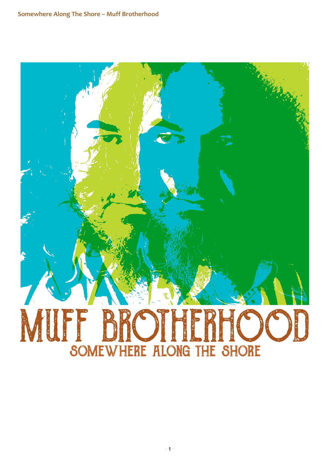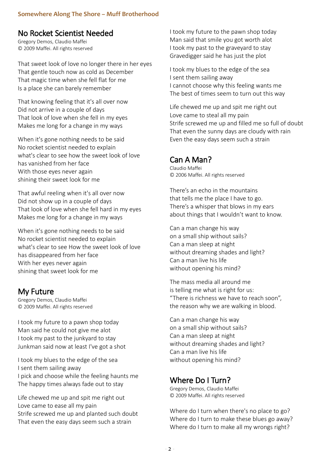#### No Rocket Scientist Needed

Gregory Demos, Claudio Maffei © 2009 Maffei. All rights reserved

That sweet look of love no longer there in her eyes That gentle touch now as cold as December That magic time when she fell flat for me Is a place she can barely remember

That knowing feeling that it's all over now Did not arrive in a couple of days That look of love when she fell in my eyes Makes me long for a change in my ways

When it's gone nothing needs to be said No rocket scientist needed to explain what's clear to see how the sweet look of love has vanished from her face With those eyes never again shining their sweet look for me

That awful reeling when it's all over now Did not show up in a couple of days That look of love when she fell hard in my eyes Makes me long for a change in my ways

When it's gone nothing needs to be said No rocket scientist needed to explain what's clear to see How the sweet look of love has disappeared from her face With her eyes never again shining that sweet look for me

### My Future

Gregory Demos, Claudio Maffei © 2009 Maffei. All rights reserved

I took my future to a pawn shop today Man said he could not give me alot I took my past to the junkyard to stay Junkman said now at least I've got a shot

I took my blues to the edge of the sea I sent them sailing away I pick and choose while the feeling haunts me The happy times always fade out to stay

Life chewed me up and spit me right out Love came to ease all my pain Strife screwed me up and planted such doubt That even the easy days seem such a strain

I took my future to the pawn shop today Man said that smile you got worth alot I took my past to the graveyard to stay Gravedigger said he has just the plot

I took my blues to the edge of the sea I sent them sailing away I cannot choose why this feeling wants me The best of times seem to turn out this way

Life chewed me up and spit me right out Love came to steal all my pain Strife screwed me up and filled me so full of doubt That even the sunny days are cloudy with rain Even the easy days seem such a strain

### Can A Man?

Claudio Maffei © 2006 Maffei. All rights reserved

There's an echo in the mountains that tells me the place I have to go. There's a whisper that blows in my ears about things that I wouldn't want to know.

Can a man change his way on a small ship without sails? Can a man sleep at night without dreaming shades and light? Can a man live his life without opening his mind?

The mass media all around me is telling me what is right for us: "There is richness we have to reach soon", the reason why we are walking in blood.

Can a man change his way on a small ship without sails? Can a man sleep at night without dreaming shades and light? Can a man live his life without opening his mind?

# Where Do I Turn?

Gregory Demos, Claudio Maffei © 2009 Maffei. All rights reserved

Where do I turn when there's no place to go? Where do I turn to make these blues go away? Where do I turn to make all my wrongs right?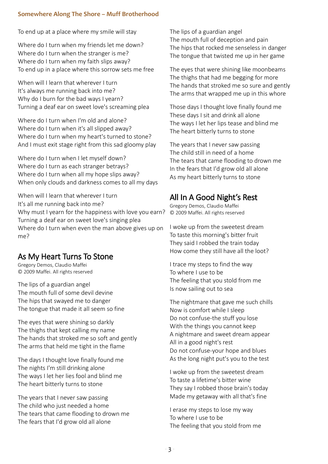To end up at a place where my smile will stay

Where do I turn when my friends let me down? Where do I turn when the stranger is me? Where do I turn when my faith slips away? To end up in a place where this sorrow sets me free

When will I learn that wherever I turn It's always me running back into me? Why do I burn for the bad ways I yearn? Turning a deaf ear on sweet love's screaming plea

Where do I turn when I'm old and alone? Where do I turn when it's all slipped away? Where do I turn when my heart's turned to stone? And I must exit stage right from this sad gloomy play

Where do I turn when I let myself down? Where do I turn as each stranger betrays? Where do I turn when all my hope slips away? When only clouds and darkness comes to all my days

When will I learn that wherever I turn It's all me running back into me? Why must I yearn for the happiness with love you earn? Turning a deaf ear on sweet love's singing plea Where do I turn when even the man above gives up on me?

# As My Heart Turns To Stone

Gregory Demos, Claudio Maffei © 2009 Maffei. All rights reserved

The lips of a guardian angel The mouth full of some devil devine The hips that swayed me to danger The tongue that made it all seem so fine

The eyes that were shining so darkly The thighs that kept calling my name The hands that stroked me so soft and gently The arms that held me tight in the flame

The days I thought love finally found me The nights I'm still drinking alone The ways I let her lies fool and blind me The heart bitterly turns to stone

The years that I never saw passing The child who just needed a home The tears that came flooding to drown me The fears that I'd grow old all alone

The lips of a guardian angel The mouth full of deception and pain The hips that rocked me senseless in danger The tongue that twisted me up in her game

The eyes that were shining like moonbeams The thighs that had me begging for more The hands that stroked me so sure and gently The arms that wrapped me up in this whore

Those days I thought love finally found me These days I sit and drink all alone The ways I let her lips tease and blind me The heart bitterly turns to stone

The years that I never saw passing The child still in need of a home The tears that came flooding to drown me In the fears that I'd grow old all alone As my heart bitterly turns to stone

# All In A Good Night's Rest

Gregory Demos, Claudio Maffei © 2009 Maffei. All rights reserved

I woke up from the sweetest dream To taste this morning's bitter fruit They said I robbed the train today How come they still have all the loot?

I trace my steps to find the way To where I use to be The feeling that you stold from me Is now sailing out to sea

The nightmare that gave me such chills Now is comfort while I sleep Do not confuse-the stuff you lose With the things you cannot keep A nightmare and sweet dream appear All in a good night's rest Do not confuse-your hope and blues As the long night put's you to the test

I woke up from the sweetest dream To taste a lifetime's bitter wine They say I robbed those brain's today Made my getaway with all that's fine

I erase my steps to lose my way To where I use to be The feeling that you stold from me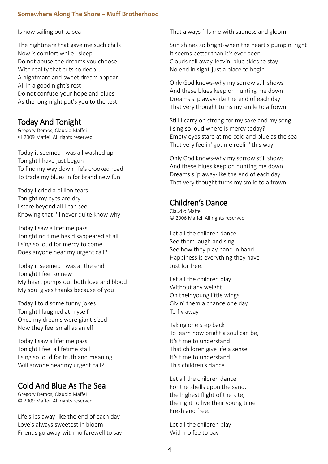Is now sailing out to sea

The nightmare that gave me such chills Now is comfort while I sleep Do not abuse-the dreams you choose With reality that cuts so deep… A nightmare and sweet dream appear All in a good night's rest Do not confuse-your hope and blues As the long night put's you to the test

## Today And Tonight

Gregory Demos, Claudio Maffei © 2009 Maffei. All rights reserved

Today it seemed I was all washed up Tonight I have just begun To find my way down life's crooked road To trade my blues in for brand new fun

Today I cried a billion tears Tonight my eyes are dry I stare beyond all I can see Knowing that I'll never quite know why

Today I saw a lifetime pass Tonight no time has disappeared at all I sing so loud for mercy to come Does anyone hear my urgent call?

Today it seemed I was at the end Tonight I feel so new My heart pumps out both love and blood My soul gives thanks because of you

Today I told some funny jokes Tonight I laughed at myself Once my dreams were giant-sized Now they feel small as an elf

Today I saw a lifetime pass Tonight I feel a lifetime stall I sing so loud for truth and meaning Will anyone hear my urgent call?

## Cold And Blue As The Sea

Gregory Demos, Claudio Maffei © 2009 Maffei. All rights reserved

Life slips away-like the end of each day Love's always sweetest in bloom Friends go away-with no farewell to say That always fills me with sadness and gloom

Sun shines so bright-when the heart's pumpin' right It seems better than it's ever been Clouds roll away-leavin' blue skies to stay No end in sight-just a place to begin

Only God knows-why my sorrow still shows And these blues keep on hunting me down Dreams slip away-like the end of each day That very thought turns my smile to a frown

Still I carry on strong-for my sake and my song I sing so loud where is mercy today? Empty eyes stare at me-cold and blue as the sea That very feelin' got me reelin' this way

Only God knows-why my sorrow still shows And these blues keep on hunting me down Dreams slip away-like the end of each day That very thought turns my smile to a frown

# Children's Dance

Claudio Maffei © 2006 Maffei. All rights reserved

Let all the children dance See them laugh and sing See how they play hand in hand Happiness is everything they have Just for free.

Let all the children play Without any weight On their young little wings Givin' them a chance one day To fly away.

Taking one step back To learn how bright a soul can be, It's time to understand That children give life a sense It's time to understand This children's dance.

Let all the children dance For the shells upon the sand, the highest flight of the kite, the right to live their young time Fresh and free.

Let all the children play With no fee to pay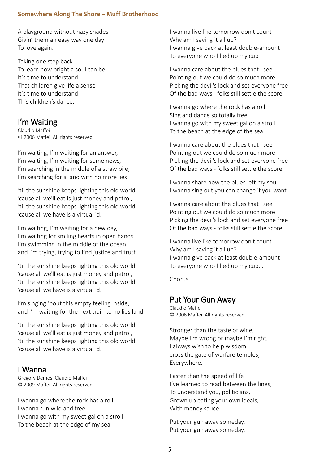A playground without hazy shades Givin' them an easy way one day To love again.

Taking one step back To learn how bright a soul can be, It's time to understand That children give life a sense It's time to understand This children's dance.

### I'm Waiting

Claudio Maffei © 2006 Maffei. All rights reserved

I'm waiting, I'm waiting for an answer, I'm waiting, I'm waiting for some news, I'm searching in the middle of a straw pile, I'm searching for a land with no more lies

'til the sunshine keeps lighting this old world, 'cause all we'll eat is just money and petrol, 'til the sunshine keeps lighting this old world, 'cause all we have is a virtual id.

I'm waiting, I'm waiting for a new day, I'm waiting for smiling hearts in open hands, I'm swimming in the middle of the ocean, and I'm trying, trying to find justice and truth

'til the sunshine keeps lighting this old world, 'cause all we'll eat is just money and petrol, 'til the sunshine keeps lighting this old world, 'cause all we have is a virtual id.

I'm singing 'bout this empty feeling inside, and I'm waiting for the next train to no lies land

'til the sunshine keeps lighting this old world, 'cause all we'll eat is just money and petrol, 'til the sunshine keeps lighting this old world, 'cause all we have is a virtual id.

### I Wanna

Gregory Demos, Claudio Maffei © 2009 Maffei. All rights reserved

I wanna go where the rock has a roll I wanna run wild and free I wanna go with my sweet gal on a stroll To the beach at the edge of my sea

I wanna live like tomorrow don't count Why am I saving it all up? I wanna give back at least double-amount To everyone who filled up my cup

I wanna care about the blues that I see Pointing out we could do so much more Picking the devil's lock and set everyone free Of the bad ways - folks still settle the score

I wanna go where the rock has a roll Sing and dance so totally free I wanna go with my sweet gal on a stroll To the beach at the edge of the sea

I wanna care about the blues that I see Pointing out we could do so much more Picking the devil's lock and set everyone free Of the bad ways - folks still settle the score

I wanna share how the blues left my soul I wanna sing out you can change if you want

I wanna care about the blues that I see Pointing out we could do so much more Picking the devil's lock and set everyone free Of the bad ways - folks still settle the score

I wanna live like tomorrow don't count Why am I saving it all up? I wanna give back at least double-amount To everyone who filled up my cup...

Chorus

### Put Your Gun Away

Claudio Maffei © 2006 Maffei. All rights reserved

Stronger than the taste of wine, Maybe I'm wrong or maybe I'm right, I always wish to help wisdom cross the gate of warfare temples, Everywhere.

Faster than the speed of life I've learned to read between the lines, To understand you, politicians, Grown up eating your own ideals, With money sauce.

Put your gun away someday, Put your gun away someday,